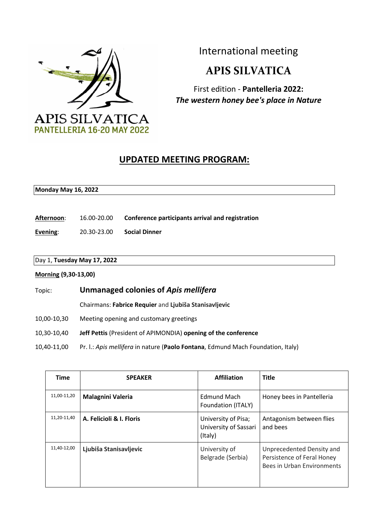

International meeting

## **APIS SILVATICA**

First edition - **Pantelleria 2022:**  *The western honey bee's place in Nature*

## **UPDATED MEETING PROGRAM:**

## **Monday May 16, 2022**

**Afternoon**: 16.00-20.00 **Conference participants arrival and registration**

**Evening**: 20.30-23.00 **Social Dinner**

# Day 1, **Tuesday May 17, 2022**

#### **Morning (9,30-13,00)**

Topic: **Unmanaged colonies of** *Apis mellifera* Chairmans: **Fabrice Requier** and **Ljubiša Stanisavljevic**  10,00-10,30 Meeting opening and customary greetings 10,30-10,40 **Jeff Pettis** (President of APIMONDIA) **opening of the conference**  10,40-11,00 Pr. l.: *Apis mellifera* in nature (**Paolo Fontana**, Edmund Mach Foundation, Italy)

| <b>Time</b> | <b>SPEAKER</b>           | <b>Affiliation</b>                                      | <b>Title</b>                                                                          |
|-------------|--------------------------|---------------------------------------------------------|---------------------------------------------------------------------------------------|
| 11,00-11,20 | <b>Malagnini Valeria</b> | <b>Edmund Mach</b><br>Foundation (ITALY)                | Honey bees in Pantelleria                                                             |
| 11,20-11,40 | A. Felicioli & I. Floris | University of Pisa;<br>University of Sassari<br>(Italy) | Antagonism between flies<br>and bees                                                  |
| 11,40-12,00 | Ljubiša Stanisavljevic   | University of<br>Belgrade (Serbia)                      | Unprecedented Density and<br>Persistence of Feral Honey<br>Bees in Urban Environments |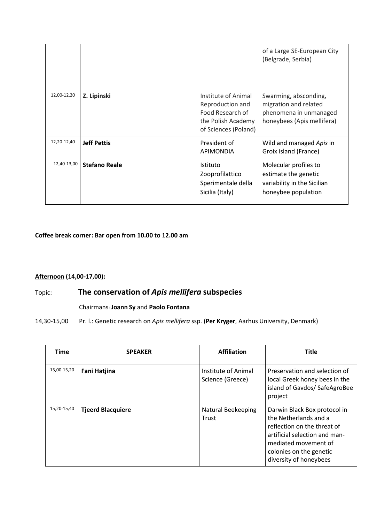|             |                      |                                                                                                           | of a Large SE-European City<br>(Belgrade, Serbia)                                                      |
|-------------|----------------------|-----------------------------------------------------------------------------------------------------------|--------------------------------------------------------------------------------------------------------|
| 12,00-12,20 | Z. Lipinski          | Institute of Animal<br>Reproduction and<br>Food Research of<br>the Polish Academy<br>of Sciences (Poland) | Swarming, absconding,<br>migration and related<br>phenomena in unmanaged<br>honeybees (Apis mellifera) |
| 12,20-12,40 | <b>Jeff Pettis</b>   | President of<br><b>APIMONDIA</b>                                                                          | Wild and managed Apis in<br>Groix island (France)                                                      |
| 12,40-13,00 | <b>Stefano Reale</b> | Istituto<br>Zooprofilattico<br>Sperimentale della<br>Sicilia (Italy)                                      | Molecular profiles to<br>estimate the genetic<br>variability in the Sicilian<br>honeybee population    |

**Coffee break corner: Bar open from 10.00 to 12.00 am** 

#### **Afternoon (14,00-17,00):**

### Topic: **The conservation of** *Apis mellifera* **subspecies**

#### Chairmans: **Joann Sy** and **Paolo Fontana**

14,30-15,00 Pr. l.: Genetic research on *Apis mellifera* ssp. (**Per Kryger**, Aarhus University, Denmark)

| <b>Time</b> | <b>SPEAKER</b>           | <b>Affiliation</b>                      | <b>Title</b>                                                                                                                                                                                       |
|-------------|--------------------------|-----------------------------------------|----------------------------------------------------------------------------------------------------------------------------------------------------------------------------------------------------|
| 15,00-15,20 | <b>Fani Hatjina</b>      | Institute of Animal<br>Science (Greece) | Preservation and selection of<br>local Greek honey bees in the<br>island of Gavdos/ SafeAgroBee<br>project                                                                                         |
| 15,20-15,40 | <b>Tjeerd Blacquiere</b> | <b>Natural Beekeeping</b><br>Trust      | Darwin Black Box protocol in<br>the Netherlands and a<br>reflection on the threat of<br>artificial selection and man-<br>mediated movement of<br>colonies on the genetic<br>diversity of honeybees |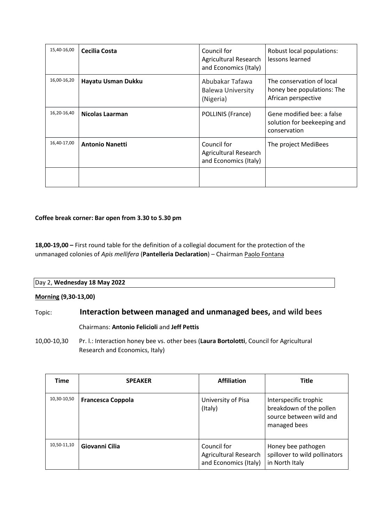| 15,40-16,00 | Cecilia Costa          | Council for<br>Agricultural Research<br>and Economics (Italy) | Robust local populations:<br>lessons learned                                   |
|-------------|------------------------|---------------------------------------------------------------|--------------------------------------------------------------------------------|
| 16,00-16,20 | Hayatu Usman Dukku     | Abubakar Tafawa<br><b>Balewa University</b><br>(Nigeria)      | The conservation of local<br>honey bee populations: The<br>African perspective |
| 16,20-16,40 | Nicolas Laarman        | POLLINIS (France)                                             | Gene modified bee: a false<br>solution for beekeeping and<br>conservation      |
| 16,40-17,00 | <b>Antonio Nanetti</b> | Council for<br>Agricultural Research<br>and Economics (Italy) | The project MediBees                                                           |
|             |                        |                                                               |                                                                                |

#### **Coffee break corner: Bar open from 3.30 to 5.30 pm**

**18,00-19,00 –** First round table for the definition of a collegial document for the protection of the unmanaged colonies of *Apis mellifera* (**Pantelleria Declaration**) – Chairman Paolo Fontana

| Day 2, Wednesday 18 May 2022 |  |
|------------------------------|--|
| <b>Morning (9,30-13,00)</b>  |  |

## Topic: **Interaction between managed and unmanaged bees, and wild bees**  Chairmans: **Antonio Felicioli** and **Jeff Pettis**

10,00-10,30 Pr. l.: Interaction honey bee vs. other bees (**Laura Bortolotti**, Council for Agricultural Research and Economics, Italy)

| Time        | <b>SPEAKER</b>           | <b>Affiliation</b>                                            | <b>Title</b>                                                                                |
|-------------|--------------------------|---------------------------------------------------------------|---------------------------------------------------------------------------------------------|
| 10,30-10,50 | <b>Francesca Coppola</b> | University of Pisa<br>(Italy)                                 | Interspecific trophic<br>breakdown of the pollen<br>source between wild and<br>managed bees |
| 10,50-11,10 | Giovanni Cilia           | Council for<br>Agricultural Research<br>and Economics (Italy) | Honey bee pathogen<br>spillover to wild pollinators<br>in North Italy                       |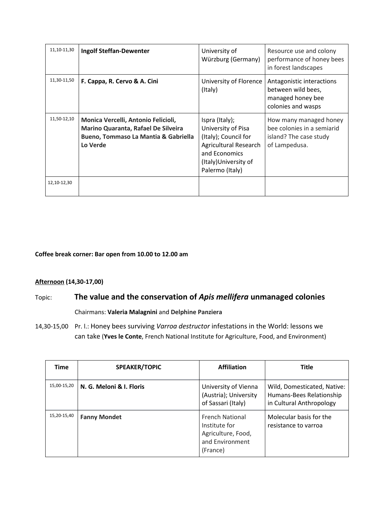| 11,10-11,30 | <b>Ingolf Steffan-Dewenter</b>                                                                                                            | University of<br>Würzburg (Germany)                                                                                                                       | Resource use and colony<br>performance of honey bees<br>in forest landscapes                    |
|-------------|-------------------------------------------------------------------------------------------------------------------------------------------|-----------------------------------------------------------------------------------------------------------------------------------------------------------|-------------------------------------------------------------------------------------------------|
| 11,30-11,50 | F. Cappa, R. Cervo & A. Cini                                                                                                              | University of Florence<br>(Italy)                                                                                                                         | Antagonistic interactions<br>between wild bees,<br>managed honey bee<br>colonies and wasps      |
| 11,50-12,10 | Monica Vercelli, Antonio Felicioli,<br>Marino Quaranta, Rafael De Silveira<br><b>Bueno, Tommaso La Mantia &amp; Gabriella</b><br>Lo Verde | Ispra (Italy);<br>University of Pisa<br>(Italy); Council for<br><b>Agricultural Research</b><br>and Economics<br>(Italy) University of<br>Palermo (Italy) | How many managed honey<br>bee colonies in a semiarid<br>island? The case study<br>of Lampedusa. |
| 12,10-12,30 |                                                                                                                                           |                                                                                                                                                           |                                                                                                 |

#### **Coffee break corner: Bar open from 10.00 to 12.00 am**

#### **Afternoon (14,30-17,00)**

## Topic: **The value and the conservation of** *Apis mellifera* **unmanaged colonies**

Chairmans: **Valeria Malagnini** and **Delphine Panziera** 

14,30-15,00 Pr. l.: Honey bees surviving *Varroa destructor* infestations in the World: lessons we can take (**Yves le Conte**, French National Institute for Agriculture, Food, and Environment)

| <b>Time</b> | <b>SPEAKER/TOPIC</b>     | <b>Affiliation</b>                                                                           | <b>Title</b>                                                                        |
|-------------|--------------------------|----------------------------------------------------------------------------------------------|-------------------------------------------------------------------------------------|
| 15,00-15,20 | N. G. Meloni & I. Floris | University of Vienna<br>(Austria); University<br>of Sassari (Italy)                          | Wild, Domesticated, Native:<br>Humans-Bees Relationship<br>in Cultural Anthropology |
| 15,20-15,40 | <b>Fanny Mondet</b>      | <b>French National</b><br>Institute for<br>Agriculture, Food,<br>and Environment<br>(France) | Molecular basis for the<br>resistance to varroa                                     |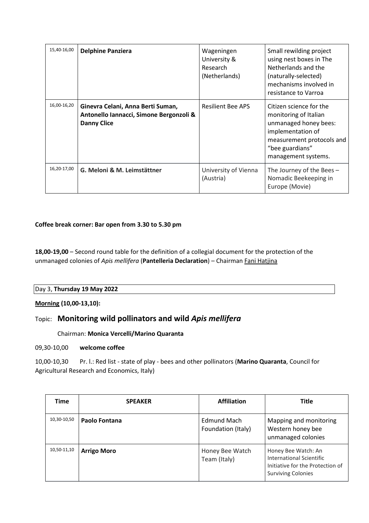| 15,40-16,00 | <b>Delphine Panziera</b>                                                                           | Wageningen<br>University &<br>Research<br>(Netherlands) | Small rewilding project<br>using nest boxes in The<br>Netherlands and the<br>(naturally-selected)<br>mechanisms involved in<br>resistance to Varroa                   |
|-------------|----------------------------------------------------------------------------------------------------|---------------------------------------------------------|-----------------------------------------------------------------------------------------------------------------------------------------------------------------------|
| 16,00-16,20 | Ginevra Celani, Anna Berti Suman,<br>Antonello Iannacci, Simone Bergonzoli &<br><b>Danny Clice</b> | <b>Resilient Bee APS</b>                                | Citizen science for the<br>monitoring of Italian<br>unmanaged honey bees:<br>implementation of<br>measurement protocols and<br>"bee guardians"<br>management systems. |
| 16,20-17,00 | G. Meloni & M. Leimstättner                                                                        | University of Vienna<br>(Austria)                       | The Journey of the Bees $-$<br>Nomadic Beekeeping in<br>Europe (Movie)                                                                                                |

#### **Coffee break corner: Bar open from 3.30 to 5.30 pm**

**18,00-19,00** – Second round table for the definition of a collegial document for the protection of the unmanaged colonies of *Apis mellifera* (**Pantelleria Declaration**) – Chairman Fani Hatjina

#### Day 3, **Thursday 19 May 2022**

**Morning (10,00-13,10):** 

#### Topic: **Monitoring wild pollinators and wild** *Apis mellifera*

Chairman: **Monica Vercelli/Marino Quaranta**

09,30-10,00 **welcome coffee** 

10,00-10,30 Pr. l.: Red list - state of play - bees and other pollinators (**Marino Quaranta**, Council for Agricultural Research and Economics, Italy)

| Time        | <b>SPEAKER</b>     | <b>Affiliation</b>                | <b>Title</b>                                                                                                     |
|-------------|--------------------|-----------------------------------|------------------------------------------------------------------------------------------------------------------|
| 10,30-10,50 | Paolo Fontana      | Edmund Mach<br>Foundation (Italy) | Mapping and monitoring<br>Western honey bee<br>unmanaged colonies                                                |
| 10,50-11,10 | <b>Arrigo Moro</b> | Honey Bee Watch<br>Team (Italy)   | Honey Bee Watch: An<br>International Scientific<br>Initiative for the Protection of<br><b>Surviving Colonies</b> |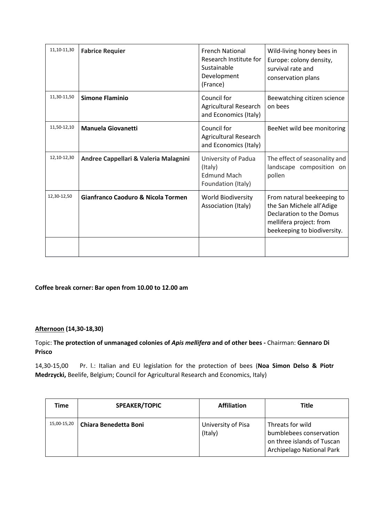| 11,10-11,30 | <b>Fabrice Requier</b>                        | <b>French National</b><br>Research Institute for<br>Sustainable<br>Development<br>(France) | Wild-living honey bees in<br>Europe: colony density,<br>survival rate and<br>conservation plans                                               |
|-------------|-----------------------------------------------|--------------------------------------------------------------------------------------------|-----------------------------------------------------------------------------------------------------------------------------------------------|
| 11,30-11,50 | <b>Simone Flaminio</b>                        | Council for<br>Agricultural Research<br>and Economics (Italy)                              | Beewatching citizen science<br>on bees                                                                                                        |
| 11,50-12,10 | <b>Manuela Giovanetti</b>                     | Council for<br>Agricultural Research<br>and Economics (Italy)                              | BeeNet wild bee monitoring                                                                                                                    |
| 12,10-12,30 | Andree Cappellari & Valeria Malagnini         | University of Padua<br>(Italy)<br><b>Edmund Mach</b><br>Foundation (Italy)                 | The effect of seasonality and<br>landscape composition on<br>pollen                                                                           |
| 12,30-12,50 | <b>Gianfranco Caoduro &amp; Nicola Tormen</b> | <b>World Biodiversity</b><br>Association (Italy)                                           | From natural beekeeping to<br>the San Michele all'Adige<br>Declaration to the Domus<br>mellifera project: from<br>beekeeping to biodiversity. |
|             |                                               |                                                                                            |                                                                                                                                               |

#### **Coffee break corner: Bar open from 10.00 to 12.00 am**

#### **Afternoon (14,30-18,30)**

#### Topic: **The protection of unmanaged colonies of** *Apis mellifera* **and of other bees -** Chairman: **Gennaro Di Prisco**

14,30-15,00 Pr. l.: Italian and EU legislation for the protection of bees (**Noa Simon Delso & Piotr Medrzycki,** Beelife, Belgium; Council for Agricultural Research and Economics, Italy)

| Time        | <b>SPEAKER/TOPIC</b>         | <b>Affiliation</b>            | Title                                                                                                  |
|-------------|------------------------------|-------------------------------|--------------------------------------------------------------------------------------------------------|
| 15,00-15,20 | <b>Chiara Benedetta Boni</b> | University of Pisa<br>(Italy) | Threats for wild<br>bumblebees conservation<br>on three islands of Tuscan<br>Archipelago National Park |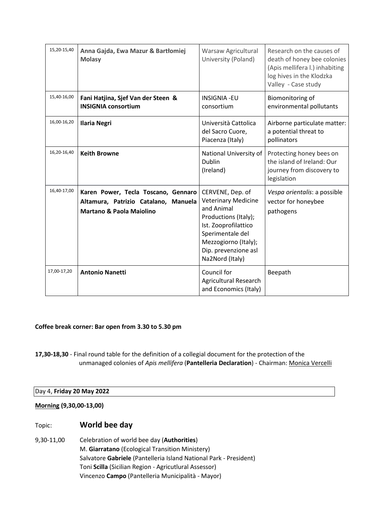| 15,20-15,40 | Anna Gajda, Ewa Mazur & Bartłomiej<br><b>Molasy</b>                                                                | Warsaw Agricultural<br>University (Poland)                                                                                                                                                          | Research on the causes of<br>death of honey bee colonies<br>(Apis mellifera l.) inhabiting<br>log hives in the Klodzka<br>Valley - Case study |
|-------------|--------------------------------------------------------------------------------------------------------------------|-----------------------------------------------------------------------------------------------------------------------------------------------------------------------------------------------------|-----------------------------------------------------------------------------------------------------------------------------------------------|
| 15,40-16,00 | Fani Hatjina, Sjef Van der Steen &<br><b>INSIGNIA consortium</b>                                                   | <b>INSIGNIA -EU</b><br>consortium                                                                                                                                                                   | Biomonitoring of<br>environmental pollutants                                                                                                  |
| 16,00-16,20 | <b>Ilaria Negri</b>                                                                                                | Università Cattolica<br>del Sacro Cuore,<br>Piacenza (Italy)                                                                                                                                        | Airborne particulate matter:<br>a potential threat to<br>pollinators                                                                          |
| 16,20-16,40 | <b>Keith Browne</b>                                                                                                | National University of<br><b>Dublin</b><br>(Ireland)                                                                                                                                                | Protecting honey bees on<br>the island of Ireland: Our<br>journey from discovery to<br>legislation                                            |
| 16,40-17,00 | Karen Power, Tecla Toscano, Gennaro<br>Altamura, Patrizio Catalano, Manuela<br><b>Martano &amp; Paola Maiolino</b> | CERVENE, Dep. of<br><b>Veterinary Medicine</b><br>and Animal<br>Productions (Italy);<br>Ist. Zooprofilattico<br>Sperimentale del<br>Mezzogiorno (Italy);<br>Dip. prevenzione asl<br>Na2Nord (Italy) | Vespa orientalis: a possible<br>vector for honeybee<br>pathogens                                                                              |
| 17,00-17,20 | <b>Antonio Nanetti</b>                                                                                             | Council for<br><b>Agricultural Research</b><br>and Economics (Italy)                                                                                                                                | Beepath                                                                                                                                       |

#### **Coffee break corner: Bar open from 3.30 to 5.30 pm**

**17,30-18,30** - Final round table for the definition of a collegial document for the protection of the unmanaged colonies of *Apis mellifera* (**Pantelleria Declaration**) - Chairman: Monica Vercelli

#### Day 4, **Friday 20 May 2022**

#### **Morning (9,30,00-13,00)**

#### Topic: **World bee day**

9,30-11,00 Celebration of world bee day (**Authorities**) M. **Giarratano** (Ecological Transition Ministery) Salvatore **Gabriele** (Pantelleria Island National Park - President) Toni **Scilla** (Sicilian Region - Agricutlural Assessor) Vincenzo **Campo** (Pantelleria Municipalità - Mayor)